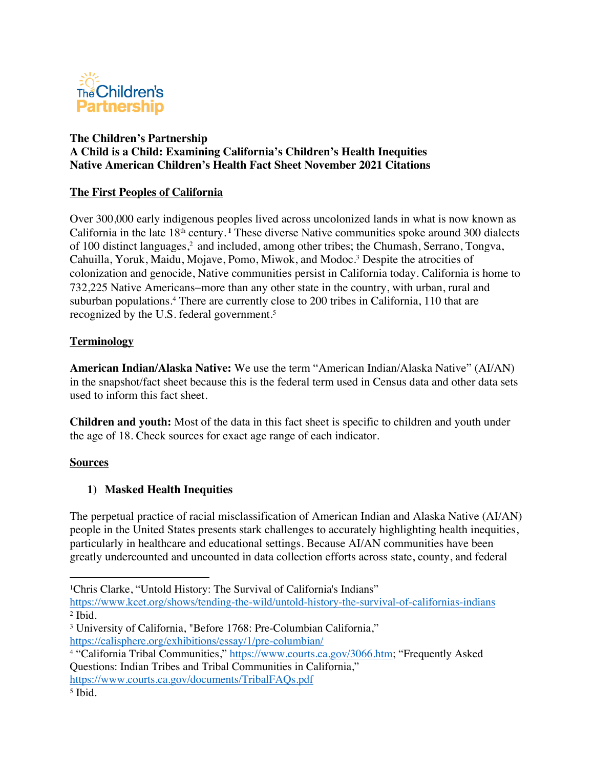

#### **The Children's Partnership A Child is a Child: Examining California's Children's Health Inequities Native American Children's Health Fact Sheet November 2021 Citations**

#### **The First Peoples of California**

Over 300,000 early indigenous peoples lived across uncolonized lands in what is now known as California in the late 18th century. **<sup>1</sup>** These diverse Native communities spoke around 300 dialects of 100 distinct languages, <sup>2</sup> and included, among other tribes; the Chumash, Serrano, Tongva, Cahuilla, Yoruk, Maidu, Mojave, Pomo, Miwok, and Modoc.3 Despite the atrocities of colonization and genocide, Native communities persist in California today. California is home to 732,225 Native Americans-more than any other state in the country, with urban, rural and suburban populations.<sup>4</sup> There are currently close to 200 tribes in California, 110 that are recognized by the U.S. federal government.5

### **Terminology**

**American Indian/Alaska Native:** We use the term "American Indian/Alaska Native" (AI/AN) in the snapshot/fact sheet because this is the federal term used in Census data and other data sets used to inform this fact sheet.

**Children and youth:** Most of the data in this fact sheet is specific to children and youth under the age of 18. Check sources for exact age range of each indicator.

#### **Sources**

## **1) Masked Health Inequities**

The perpetual practice of racial misclassification of American Indian and Alaska Native (AI/AN) people in the United States presents stark challenges to accurately highlighting health inequities, particularly in healthcare and educational settings. Because AI/AN communities have been greatly undercounted and uncounted in data collection efforts across state, county, and federal

https://www.courts.ca.gov/documents/TribalFAQs.pdf<br>
<sup>5</sup> Ibid.

<sup>&</sup>lt;sup>1</sup>Chris Clarke, "Untold History: The Survival of California's Indians"

https://www.kcet.org/shows/tending-the-wild/untold-history-the-survival-of-californias-indians  $2$  Ibid.

<sup>3</sup> University of California, "Before 1768: Pre-Columbian California," https://calisphere.org/exhibitions/essay/1/pre-columbian/

<sup>4</sup> "California Tribal Communities," https://www.courts.ca.gov/3066.htm; "Frequently Asked Questions: Indian Tribes and Tribal Communities in California,"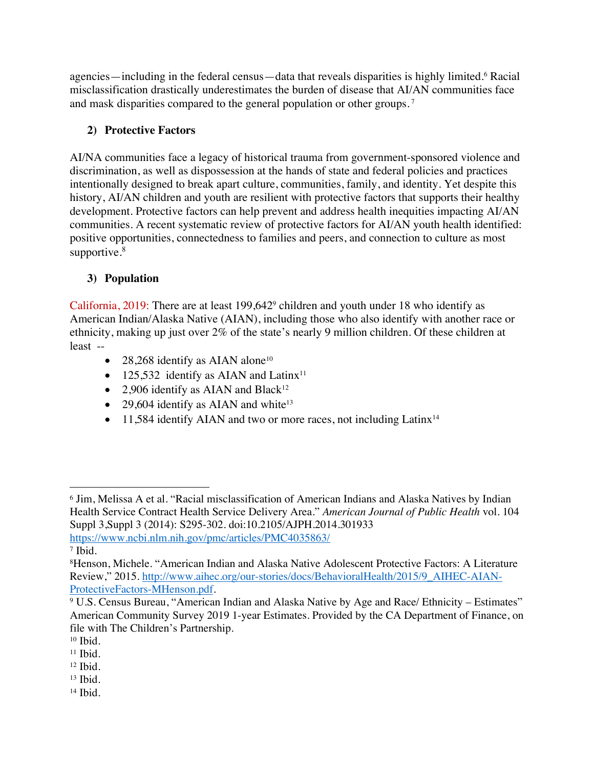agencies—including in the federal census—data that reveals disparities is highly limited.<sup>6</sup> Racial misclassification drastically underestimates the burden of disease that AI/AN communities face and mask disparities compared to the general population or other groups. <sup>7</sup>

# **2) Protective Factors**

AI/NA communities face a legacy of historical trauma from government-sponsored violence and discrimination, as well as dispossession at the hands of state and federal policies and practices intentionally designed to break apart culture, communities, family, and identity. Yet despite this history, AI/AN children and youth are resilient with protective factors that supports their healthy development. Protective factors can help prevent and address health inequities impacting AI/AN communities. A recent systematic review of protective factors for AI/AN youth health identified: positive opportunities, connectedness to families and peers, and connection to culture as most supportive.<sup>8</sup>

# **3) Population**

California, 2019: There are at least  $199,642^{\circ}$  children and youth under 18 who identify as American Indian/Alaska Native (AIAN), including those who also identify with another race or ethnicity, making up just over 2% of the state's nearly 9 million children. Of these children at least --

- 28,268 identify as AIAN alone<sup>10</sup>
- 125,532 identify as AIAN and Latin $x<sup>11</sup>$
- 2,906 identify as AIAN and Black<sup>12</sup>
- 29,604 identify as AIAN and white $13$
- 11,584 identify AIAN and two or more races, not including Latinx<sup>14</sup>

- $11$  Ibid.
- $12$  Ibid.

<sup>14</sup> Ibid.

<sup>6</sup> Jim, Melissa A et al. "Racial misclassification of American Indians and Alaska Natives by Indian Health Service Contract Health Service Delivery Area." *American Journal of Public Health* vol. 104 Suppl 3,Suppl 3 (2014): S295-302. doi:10.2105/AJPH.2014.301933

https://www.ncbi.nlm.nih.gov/pmc/articles/PMC4035863/

<sup>7</sup> Ibid.

<sup>8</sup>Henson, Michele. "American Indian and Alaska Native Adolescent Protective Factors: A Literature Review," 2015. http://www.aihec.org/our-stories/docs/BehavioralHealth/2015/9\_AIHEC-AIAN-ProtectiveFactors-MHenson.pdf.

<sup>&</sup>lt;sup>9</sup> U.S. Census Bureau, "American Indian and Alaska Native by Age and Race/ Ethnicity – Estimates" American Community Survey 2019 1-year Estimates. Provided by the CA Department of Finance, on file with The Children's Partnership.

<sup>10</sup> Ibid.

<sup>13</sup> Ibid.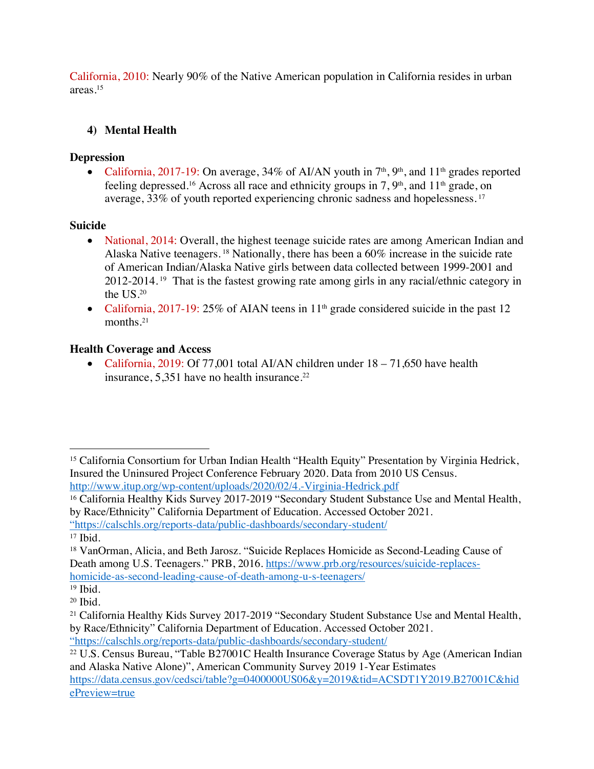California, 2010: Nearly 90% of the Native American population in California resides in urban areas.15

### **4) Mental Health**

#### **Depression**

• California, 2017-19: On average, 34% of AI/AN youth in  $7<sup>th</sup>$ ,  $9<sup>th</sup>$ , and  $11<sup>th</sup>$  grades reported feeling depressed.<sup>16</sup> Across all race and ethnicity groups in 7,  $9<sup>th</sup>$ , and  $11<sup>th</sup>$  grade, on average, 33% of youth reported experiencing chronic sadness and hopelessness. <sup>17</sup>

#### **Suicide**

- National, 2014: Overall, the highest teenage suicide rates are among American Indian and Alaska Native teenagers. <sup>18</sup> Nationally, there has been a 60% increase in the suicide rate of American Indian/Alaska Native girls between data collected between 1999-2001 and 2012-2014. 19 That is the fastest growing rate among girls in any racial/ethnic category in the US.20
- California, 2017-19: 25% of AIAN teens in 11<sup>th</sup> grade considered suicide in the past 12 months. 21

#### **Health Coverage and Access**

• California, 2019: Of 77,001 total AI/AN children under  $18 - 71,650$  have health insurance, 5,351 have no health insurance. 22

ePreview=true

<sup>&</sup>lt;sup>15</sup> California Consortium for Urban Indian Health "Health Equity" Presentation by Virginia Hedrick, Insured the Uninsured Project Conference February 2020. Data from 2010 US Census. http://www.itup.org/wp-content/uploads/2020/02/4.-Virginia-Hedrick.pdf

<sup>&</sup>lt;sup>16</sup> California Healthy Kids Survey 2017-2019 "Secondary Student Substance Use and Mental Health, by Race/Ethnicity" California Department of Education. Accessed October 2021.

<sup>&</sup>quot;https://calschls.org/reports-data/public-dashboards/secondary-student/ <sup>17</sup> Ibid.

<sup>18</sup> VanOrman, Alicia, and Beth Jarosz. "Suicide Replaces Homicide as Second-Leading Cause of Death among U.S. Teenagers." PRB, 2016. https://www.prb.org/resources/suicide-replaceshomicide-as-second-leading-cause-of-death-among-u-s-teenagers/

 $19$  Ibid.

<sup>20</sup> Ibid.

<sup>21</sup> California Healthy Kids Survey 2017-2019 "Secondary Student Substance Use and Mental Health, by Race/Ethnicity" California Department of Education. Accessed October 2021.

<sup>&</sup>quot;https://calschls.org/reports-data/public-dashboards/secondary-student/

<sup>22</sup> U.S. Census Bureau, "Table B27001C Health Insurance Coverage Status by Age (American Indian and Alaska Native Alone)", American Community Survey 2019 1-Year Estimates https://data.census.gov/cedsci/table?g=0400000US06&y=2019&tid=ACSDT1Y2019.B27001C&hid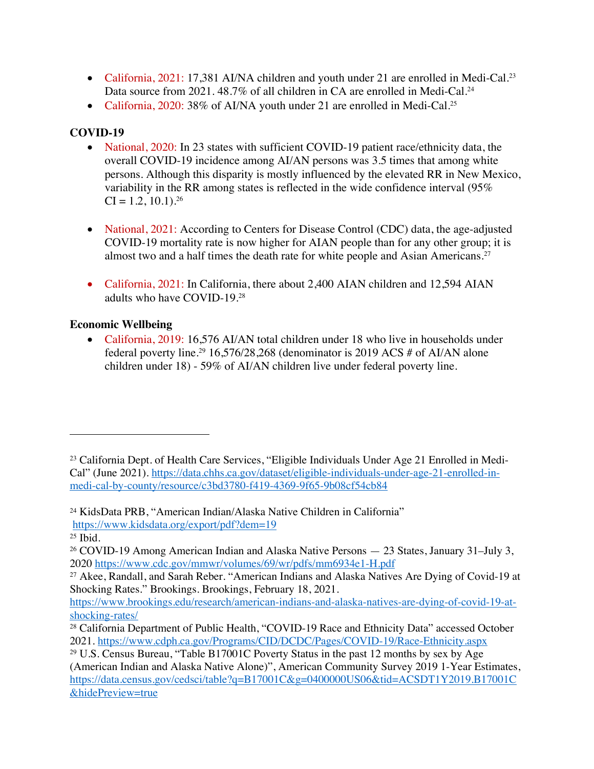- California, 2021: 17,381 AI/NA children and youth under 21 are enrolled in Medi-Cal.<sup>23</sup> Data source from 2021. 48.7% of all children in CA are enrolled in Medi-Cal.<sup>24</sup>
- California, 2020: 38% of AI/NA youth under 21 are enrolled in Medi-Cal.<sup>25</sup>

## **COVID-19**

- National, 2020: In 23 states with sufficient COVID-19 patient race/ethnicity data, the overall COVID-19 incidence among AI/AN persons was 3.5 times that among white persons. Although this disparity is mostly influenced by the elevated RR in New Mexico, variability in the RR among states is reflected in the wide confidence interval (95%  $CI = 1.2, 10.1$ <sup>26</sup>
- National, 2021: According to Centers for Disease Control (CDC) data, the age-adjusted COVID-19 mortality rate is now higher for AIAN people than for any other group; it is almost two and a half times the death rate for white people and Asian Americans. 27
- California, 2021: In California, there about 2,400 AIAN children and 12,594 AIAN adults who have COVID-19.28

### **Economic Wellbeing**

• California, 2019: 16,576 AI/AN total children under 18 who live in households under federal poverty line.29 16,576/28,268 (denominator is 2019 ACS # of AI/AN alone children under 18) - 59% of AI/AN children live under federal poverty line.

<sup>&</sup>lt;sup>23</sup> California Dept. of Health Care Services, "Eligible Individuals Under Age 21 Enrolled in Medi-Cal" (June 2021). https://data.chhs.ca.gov/dataset/eligible-individuals-under-age-21-enrolled-inmedi-cal-by-county/resource/c3bd3780-f419-4369-9f65-9b08cf54cb84

<sup>24</sup> KidsData PRB, "American Indian/Alaska Native Children in California"

https://www.kidsdata.org/export/pdf?dem=19

<sup>25</sup> Ibid.

<sup>&</sup>lt;sup>26</sup> COVID-19 Among American Indian and Alaska Native Persons  $-23$  States, January 31–July 3, 2020 https://www.cdc.gov/mmwr/volumes/69/wr/pdfs/mm6934e1-H.pdf

<sup>27</sup> Akee, Randall, and Sarah Reber. "American Indians and Alaska Natives Are Dying of Covid-19 at Shocking Rates." Brookings. Brookings, February 18, 2021.

https://www.brookings.edu/research/american-indians-and-alaska-natives-are-dying-of-covid-19-atshocking-rates/

<sup>&</sup>lt;sup>28</sup> California Department of Public Health, "COVID-19 Race and Ethnicity Data" accessed October 2021. https://www.cdph.ca.gov/Programs/CID/DCDC/Pages/COVID-19/Race-Ethnicity.aspx

<sup>29</sup> U.S. Census Bureau, "Table B17001C Poverty Status in the past 12 months by sex by Age (American Indian and Alaska Native Alone)", American Community Survey 2019 1-Year Estimates, https://data.census.gov/cedsci/table?q=B17001C&g=0400000US06&tid=ACSDT1Y2019.B17001C &hidePreview=true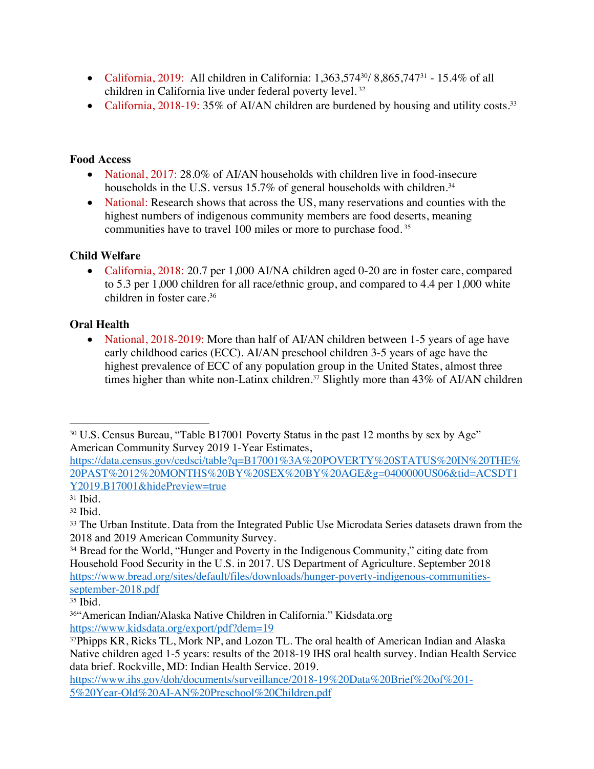- California, 2019: All children in California:  $1,363,574^{30}/8,865,747^{31}$   $15.4\%$  of all children in California live under federal poverty level. <sup>32</sup>
- California, 2018-19: 35% of AI/AN children are burdened by housing and utility costs.<sup>33</sup>

#### **Food Access**

- National, 2017: 28.0% of AI/AN households with children live in food-insecure households in the U.S. versus 15.7% of general households with children.<sup>34</sup>
- National: Research shows that across the US, many reservations and counties with the highest numbers of indigenous community members are food deserts, meaning communities have to travel 100 miles or more to purchase food. <sup>35</sup>

## **Child Welfare**

• California, 2018: 20.7 per 1,000 AI/NA children aged 0-20 are in foster care, compared to 5.3 per 1,000 children for all race/ethnic group, and compared to 4.4 per 1,000 white children in foster care. 36

## **Oral Health**

• National, 2018-2019: More than half of AI/AN children between 1-5 years of age have early childhood caries (ECC). AI/AN preschool children 3-5 years of age have the highest prevalence of ECC of any population group in the United States, almost three times higher than white non-Latinx children.<sup>37</sup> Slightly more than  $43\%$  of AI/AN children

<sup>&</sup>lt;sup>30</sup> U.S. Census Bureau, "Table B17001 Poverty Status in the past 12 months by sex by Age" American Community Survey 2019 1-Year Estimates,

https://data.census.gov/cedsci/table?q=B17001%3A%20POVERTY%20STATUS%20IN%20THE% 20PAST%2012%20MONTHS%20BY%20SEX%20BY%20AGE&g=0400000US06&tid=ACSDT1 Y2019.B17001&hidePreview=true

<sup>31</sup> Ibid.

<sup>32</sup> Ibid.

<sup>&</sup>lt;sup>33</sup> The Urban Institute. Data from the Integrated Public Use Microdata Series datasets drawn from the 2018 and 2019 American Community Survey.

<sup>&</sup>lt;sup>34</sup> Bread for the World, "Hunger and Poverty in the Indigenous Community," citing date from Household Food Security in the U.S. in 2017. US Department of Agriculture. September 2018 https://www.bread.org/sites/default/files/downloads/hunger-poverty-indigenous-communitiesseptember-2018.pdf

<sup>35</sup> Ibid.

<sup>36&</sup>quot;American Indian/Alaska Native Children in California." Kidsdata.org https://www.kidsdata.org/export/pdf?dem=19

<sup>&</sup>lt;sup>37</sup>Phipps KR, Ricks TL, Mork NP, and Lozon TL. The oral health of American Indian and Alaska Native children aged 1-5 years: results of the 2018-19 IHS oral health survey. Indian Health Service data brief. Rockville, MD: Indian Health Service. 2019.

https://www.ihs.gov/doh/documents/surveillance/2018-19%20Data%20Brief%20of%201- 5%20Year-Old%20AI-AN%20Preschool%20Children.pdf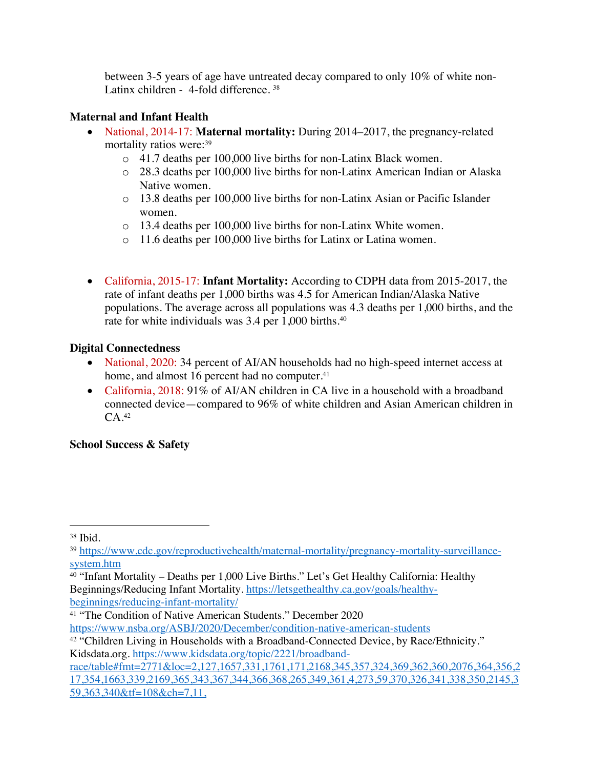between 3-5 years of age have untreated decay compared to only 10% of white non-Latinx children - 4-fold difference.<sup>38</sup>

#### **Maternal and Infant Health**

- National, 2014-17: **Maternal mortality:** During 2014–2017, the pregnancy-related mortality ratios were: 39
	- o 41.7 deaths per 100,000 live births for non-Latinx Black women.
	- o 28.3 deaths per 100,000 live births for non-Latinx American Indian or Alaska Native women.
	- o 13.8 deaths per 100,000 live births for non-Latinx Asian or Pacific Islander women.
	- o 13.4 deaths per 100,000 live births for non-Latinx White women.
	- o 11.6 deaths per 100,000 live births for Latinx or Latina women.
- California, 2015-17: **Infant Mortality:** According to CDPH data from 2015-2017, the rate of infant deaths per 1,000 births was 4.5 for American Indian/Alaska Native populations. The average across all populations was 4.3 deaths per 1,000 births, and the rate for white individuals was 3.4 per 1,000 births.<sup>40</sup>

#### **Digital Connectedness**

- National, 2020: 34 percent of AI/AN households had no high-speed internet access at home, and almost 16 percent had no computer.<sup>41</sup>
- California, 2018: 91% of AI/AN children in CA live in a household with a broadband connected device—compared to 96% of white children and Asian American children in  $CA<sup>42</sup>$

#### **School Success & Safety**

<sup>41</sup> "The Condition of Native American Students." December 2020

race/table#fmt=2771&loc=2,127,1657,331,1761,171,2168,345,357,324,369,362,360,2076,364,356,2 17,354,1663,339,2169,365,343,367,344,366,368,265,349,361,4,273,59,370,326,341,338,350,2145,3 59,363,340&tf=108&ch=7,11,

<sup>38</sup> Ibid.

<sup>39</sup> https://www.cdc.gov/reproductivehealth/maternal-mortality/pregnancy-mortality-surveillancesystem.htm

<sup>40</sup> "Infant Mortality – Deaths per 1,000 Live Births." Let's Get Healthy California: Healthy Beginnings/Reducing Infant Mortality. https://letsgethealthy.ca.gov/goals/healthybeginnings/reducing-infant-mortality/

https://www.nsba.org/ASBJ/2020/December/condition-native-american-students

<sup>42 &</sup>quot;Children Living in Households with a Broadband-Connected Device, by Race/Ethnicity." Kidsdata.org. https://www.kidsdata.org/topic/2221/broadband-